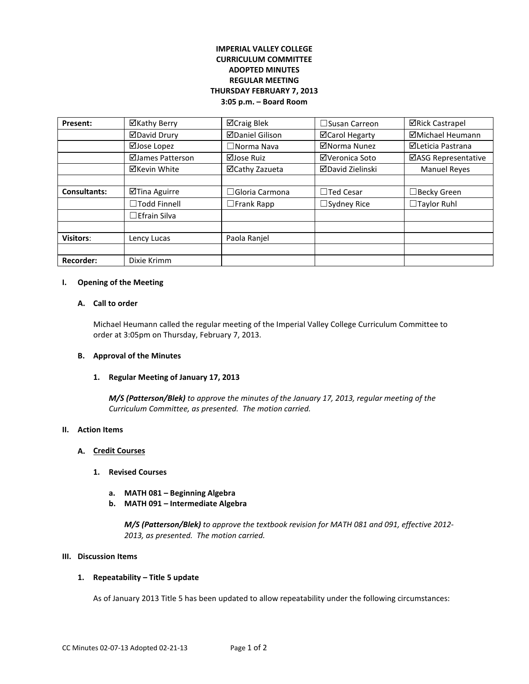# **IMPERIAL VALLEY COLLEGE CURRICULUM COMMITTEE ADOPTED MINUTES REGULAR MEETING THURSDAY FEBRUARY 7, 2013 3:05 p.m. – Board Room**

| Present:            | ⊠Kathy Berry        | ⊠Craig Blek            | $\Box$ Susan Carreon  | <b>⊠Rick Castrapel</b> |
|---------------------|---------------------|------------------------|-----------------------|------------------------|
|                     | <b>ØDavid Drury</b> | <b>ØDaniel Gilison</b> | <b>⊠Carol Hegarty</b> | ⊠Michael Heumann       |
|                     | ⊠Jose Lopez         | $\Box$ Norma Nava      | ⊠Norma Nunez          | ⊠Leticia Pastrana      |
|                     | ⊠James Patterson    | ⊠Jose Ruiz             | ⊠Veronica Soto        | ⊠ASG Representative    |
|                     | ⊠Kevin White        | ⊠Cathy Zazueta         | ⊠David Zielinski      | <b>Manuel Reyes</b>    |
|                     |                     |                        |                       |                        |
| <b>Consultants:</b> | ⊠Tina Aguirre       | ∃Gloria Carmona        | $\Box$ Ted Cesar      | $\Box$ Becky Green     |
|                     | $\Box$ Todd Finnell | $\Box$ Frank Rapp      | $\Box$ Sydney Rice    | $\Box$ Taylor Ruhl     |
|                     | $\Box$ Efrain Silva |                        |                       |                        |
|                     |                     |                        |                       |                        |
| <b>Visitors:</b>    | Lency Lucas         | Paola Ranjel           |                       |                        |
|                     |                     |                        |                       |                        |
| <b>Recorder:</b>    | Dixie Krimm         |                        |                       |                        |

#### **I. Opening of the Meeting**

## **A. Call to order**

Michael Heumann called the regular meeting of the Imperial Valley College Curriculum Committee to order at 3:05pm on Thursday, February 7, 2013.

## **B. Approval of the Minutes**

#### **1. Regular Meeting of January 17, 2013**

*M/S (Patterson/Blek) to approve the minutes of the January 17, 2013, regular meeting of the Curriculum Committee, as presented. The motion carried.* 

#### **II. Action Items**

#### **A. Credit Courses**

#### **1. Revised Courses**

- **a. MATH 081 – Beginning Algebra**
- **b. MATH 091 – Intermediate Algebra**

*M/S (Patterson/Blek) to approve the textbook revision for MATH 081 and 091, effective 2012- 2013, as presented. The motion carried.*

#### **III. Discussion Items**

#### **1. Repeatability – Title 5 update**

As of January 2013 Title 5 has been updated to allow repeatability under the following circumstances: